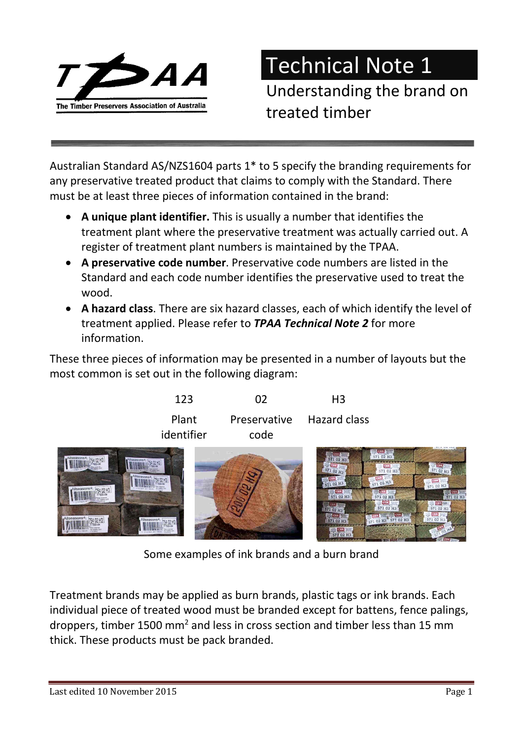

Technical Note 1

Understanding the brand on treated timber

Australian Standard AS/NZS1604 parts 1\* to 5 specify the branding requirements for any preservative treated product that claims to comply with the Standard. There must be at least three pieces of information contained in the brand:

- A unique plant identifier. This is usually a number that identifies the treatment plant where the preservative treatment was actually carried out. A register of treatment plant numbers is maintained by the TPAA.
- A preservative code number. Preservative code numbers are listed in the Standard and each code number identifies the preservative used to treat the wood.
- A hazard class. There are six hazard classes, each of which identify the level of treatment applied. Please refer to **TPAA Technical Note 2** for more information.

These three pieces of information may be presented in a number of layouts but the most common is set out in the following diagram:



Some examples of ink brands and a burn brand

Treatment brands may be applied as burn brands, plastic tags or ink brands. Each individual piece of treated wood must be branded except for battens, fence palings, droppers, timber 1500 mm<sup>2</sup> and less in cross section and timber less than 15 mm thick. These products must be pack branded.